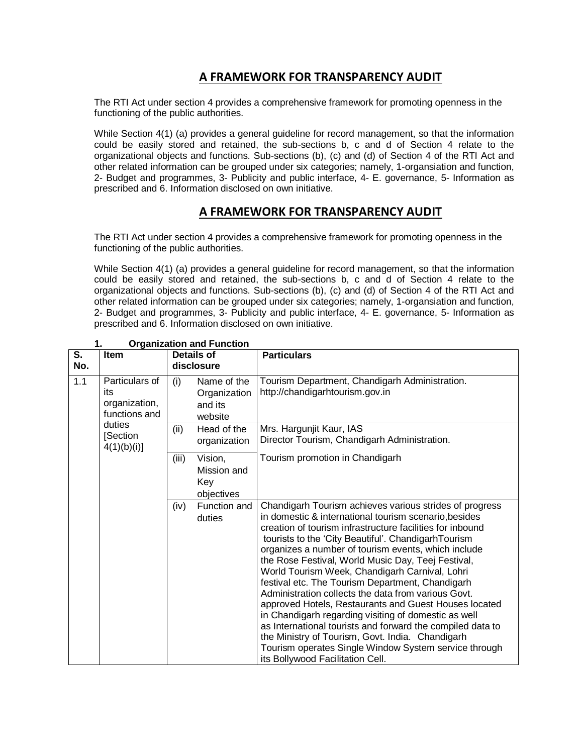# **A FRAMEWORK FOR TRANSPARENCY AUDIT**

The RTI Act under section 4 provides a comprehensive framework for promoting openness in the functioning of the public authorities.

While Section 4(1) (a) provides a general guideline for record management, so that the information could be easily stored and retained, the sub-sections b, c and d of Section 4 relate to the organizational objects and functions. Sub-sections (b), (c) and (d) of Section 4 of the RTI Act and other related information can be grouped under six categories; namely, 1-organsiation and function, 2- Budget and programmes, 3- Publicity and public interface, 4- E. governance, 5- Information as prescribed and 6. Information disclosed on own initiative.

## **A FRAMEWORK FOR TRANSPARENCY AUDIT**

The RTI Act under section 4 provides a comprehensive framework for promoting openness in the functioning of the public authorities.

While Section 4(1) (a) provides a general guideline for record management, so that the information could be easily stored and retained, the sub-sections b, c and d of Section 4 relate to the organizational objects and functions. Sub-sections (b), (c) and (d) of Section 4 of the RTI Act and other related information can be grouped under six categories; namely, 1-organsiation and function, 2- Budget and programmes, 3- Publicity and public interface, 4- E. governance, 5- Information as prescribed and 6. Information disclosed on own initiative.

| S.<br>No. | <b>Item</b>                                             | Details of<br>disclosure                                 | <b>Particulars</b>                                                                                                                                                                                                                                                                                                                                                                                                                                                                                                                                                                                                                                                                                                                                                                                                                             |
|-----------|---------------------------------------------------------|----------------------------------------------------------|------------------------------------------------------------------------------------------------------------------------------------------------------------------------------------------------------------------------------------------------------------------------------------------------------------------------------------------------------------------------------------------------------------------------------------------------------------------------------------------------------------------------------------------------------------------------------------------------------------------------------------------------------------------------------------------------------------------------------------------------------------------------------------------------------------------------------------------------|
| 1.1       | Particulars of<br>its<br>organization,<br>functions and | Name of the<br>(i)<br>Organization<br>and its<br>website | Tourism Department, Chandigarh Administration.<br>http://chandigarhtourism.gov.in                                                                                                                                                                                                                                                                                                                                                                                                                                                                                                                                                                                                                                                                                                                                                              |
|           | duties<br>[Section<br>4(1)(b)(i)                        | Head of the<br>(ii)<br>organization                      | Mrs. Hargunjit Kaur, IAS<br>Director Tourism, Chandigarh Administration.                                                                                                                                                                                                                                                                                                                                                                                                                                                                                                                                                                                                                                                                                                                                                                       |
|           |                                                         | Vision,<br>(iii)<br>Mission and<br>Key<br>objectives     | Tourism promotion in Chandigarh                                                                                                                                                                                                                                                                                                                                                                                                                                                                                                                                                                                                                                                                                                                                                                                                                |
|           |                                                         | Function and<br>(iv)<br>duties                           | Chandigarh Tourism achieves various strides of progress<br>in domestic & international tourism scenario, besides<br>creation of tourism infrastructure facilities for inbound<br>tourists to the 'City Beautiful'. ChandigarhTourism<br>organizes a number of tourism events, which include<br>the Rose Festival, World Music Day, Teej Festival,<br>World Tourism Week, Chandigarh Carnival, Lohri<br>festival etc. The Tourism Department, Chandigarh<br>Administration collects the data from various Govt.<br>approved Hotels, Restaurants and Guest Houses located<br>in Chandigarh regarding visiting of domestic as well<br>as International tourists and forward the compiled data to<br>the Ministry of Tourism, Govt. India. Chandigarh<br>Tourism operates Single Window System service through<br>its Bollywood Facilitation Cell. |

#### **1. Organization and Function**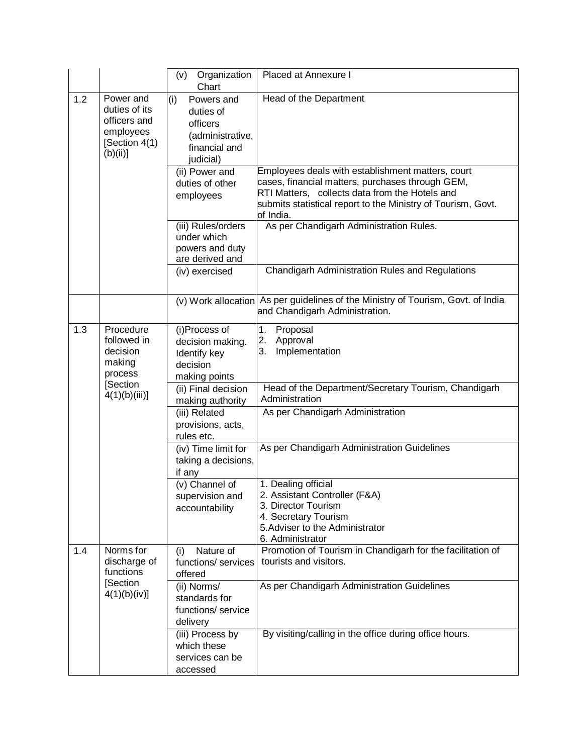|     |                                                                                     | Organization<br>(v)<br>Chart                                                                 | Placed at Annexure I                                                                                                                                                                                                                 |
|-----|-------------------------------------------------------------------------------------|----------------------------------------------------------------------------------------------|--------------------------------------------------------------------------------------------------------------------------------------------------------------------------------------------------------------------------------------|
| 1.2 | Power and<br>duties of its<br>officers and<br>employees<br>[Section 4(1)<br>(b)(ii) | (i)<br>Powers and<br>duties of<br>officers<br>(administrative,<br>financial and<br>judicial) | Head of the Department                                                                                                                                                                                                               |
|     |                                                                                     | (ii) Power and<br>duties of other<br>employees                                               | Employees deals with establishment matters, court<br>cases, financial matters, purchases through GEM,<br>RTI Matters, collects data from the Hotels and<br>submits statistical report to the Ministry of Tourism, Govt.<br>of India. |
|     |                                                                                     | (iii) Rules/orders<br>under which<br>powers and duty<br>are derived and                      | As per Chandigarh Administration Rules.                                                                                                                                                                                              |
|     |                                                                                     | (iv) exercised                                                                               | Chandigarh Administration Rules and Regulations                                                                                                                                                                                      |
|     |                                                                                     |                                                                                              | (v) Work allocation As per guidelines of the Ministry of Tourism, Govt. of India<br>and Chandigarh Administration.                                                                                                                   |
| 1.3 | Procedure<br>followed in<br>decision<br>making<br>process                           | (i)Process of<br>decision making.<br>Identify key<br>decision<br>making points               | 1.<br>Proposal<br>Approval<br>2.<br>3.<br>Implementation                                                                                                                                                                             |
|     | [Section<br>$4(1)(b)(iii)$ ]                                                        | (ii) Final decision<br>making authority                                                      | Head of the Department/Secretary Tourism, Chandigarh<br>Administration                                                                                                                                                               |
|     |                                                                                     | (iii) Related<br>provisions, acts,<br>rules etc.                                             | As per Chandigarh Administration                                                                                                                                                                                                     |
|     |                                                                                     | (iv) Time limit for<br>taking a decisions,<br>if any                                         | As per Chandigarh Administration Guidelines                                                                                                                                                                                          |
|     |                                                                                     | (v) Channel of<br>supervision and<br>accountability                                          | 1. Dealing official<br>2. Assistant Controller (F&A)<br>3. Director Tourism<br>4. Secretary Tourism<br>5. Adviser to the Administrator<br>6. Administrator                                                                           |
| 1.4 | Norms for<br>discharge of<br>functions                                              | Nature of<br>(i)<br>functions/ services<br>offered                                           | Promotion of Tourism in Chandigarh for the facilitation of<br>tourists and visitors.                                                                                                                                                 |
|     | [Section<br>4(1)(b)(iv)]                                                            | (ii) Norms/<br>standards for<br>functions/ service<br>delivery                               | As per Chandigarh Administration Guidelines                                                                                                                                                                                          |
|     |                                                                                     | (iii) Process by<br>which these<br>services can be<br>accessed                               | By visiting/calling in the office during office hours.                                                                                                                                                                               |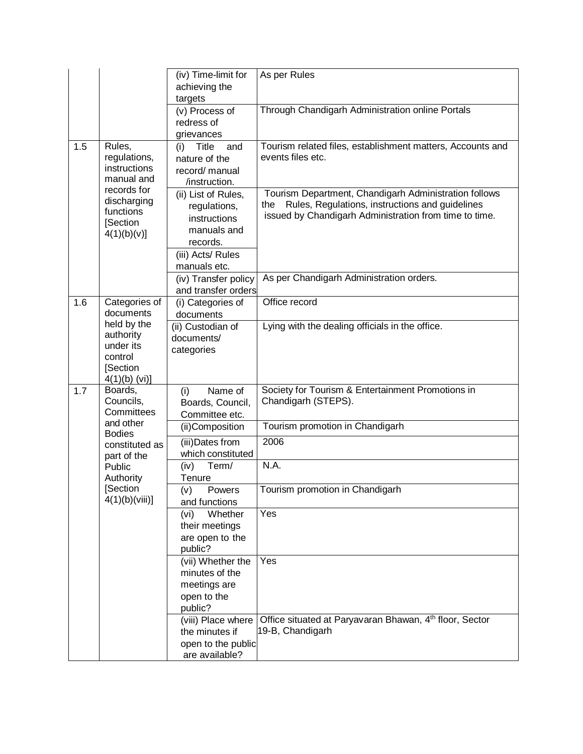|     |                                                                              | (iv) Time-limit for                                                                                 | As per Rules                                                                                                                                                              |
|-----|------------------------------------------------------------------------------|-----------------------------------------------------------------------------------------------------|---------------------------------------------------------------------------------------------------------------------------------------------------------------------------|
|     |                                                                              | achieving the                                                                                       |                                                                                                                                                                           |
|     |                                                                              | targets                                                                                             |                                                                                                                                                                           |
|     |                                                                              | (v) Process of                                                                                      | Through Chandigarh Administration online Portals                                                                                                                          |
|     |                                                                              | redress of                                                                                          |                                                                                                                                                                           |
|     |                                                                              | grievances                                                                                          |                                                                                                                                                                           |
| 1.5 | Rules,<br>regulations,<br>instructions<br>manual and<br>records for          | <b>Title</b><br>(i)<br>and<br>nature of the<br>record/ manual<br>/instruction.                      | Tourism related files, establishment matters, Accounts and<br>events files etc.                                                                                           |
|     | discharging<br>functions<br>[Section<br>4(1)(b)(v)]                          | (ii) List of Rules,<br>regulations,<br>instructions<br>manuals and<br>records.<br>(iii) Acts/ Rules | Tourism Department, Chandigarh Administration follows<br>Rules, Regulations, instructions and guidelines<br>the<br>issued by Chandigarh Administration from time to time. |
|     |                                                                              | manuals etc.                                                                                        |                                                                                                                                                                           |
|     |                                                                              | (iv) Transfer policy<br>and transfer orders                                                         | As per Chandigarh Administration orders.                                                                                                                                  |
| 1.6 | Categories of                                                                | (i) Categories of                                                                                   | Office record                                                                                                                                                             |
|     | documents                                                                    | documents                                                                                           |                                                                                                                                                                           |
|     | held by the<br>authority<br>under its<br>control<br>[Section<br>4(1)(b) (vi) | (ii) Custodian of<br>documents/<br>categories                                                       | Lying with the dealing officials in the office.                                                                                                                           |
| 1.7 | Boards,<br>Councils,<br>Committees                                           | Name of<br>(i)<br>Boards, Council,<br>Committee etc.                                                | Society for Tourism & Entertainment Promotions in<br>Chandigarh (STEPS).                                                                                                  |
|     | and other                                                                    | (ii)Composition                                                                                     | Tourism promotion in Chandigarh                                                                                                                                           |
|     | <b>Bodies</b>                                                                |                                                                                                     | 2006                                                                                                                                                                      |
|     | constituted as                                                               | (iii) Dates from<br>which constituted                                                               |                                                                                                                                                                           |
|     | part of the<br>Public<br>Authority                                           | Term/<br>(iv)<br>Tenure                                                                             | N.A.                                                                                                                                                                      |
|     | [Section<br>4(1)(b)(viii)]                                                   | (v)<br>Powers<br>and functions                                                                      | Tourism promotion in Chandigarh                                                                                                                                           |
|     |                                                                              | Whether<br>(vi)<br>their meetings                                                                   | Yes                                                                                                                                                                       |
|     |                                                                              | are open to the<br>public?                                                                          |                                                                                                                                                                           |
|     |                                                                              | (vii) Whether the<br>minutes of the<br>meetings are<br>open to the<br>public?                       | Yes                                                                                                                                                                       |
|     |                                                                              | (viii) Place where<br>the minutes if<br>open to the public<br>are available?                        | Office situated at Paryavaran Bhawan, 4th floor, Sector<br>19-B, Chandigarh                                                                                               |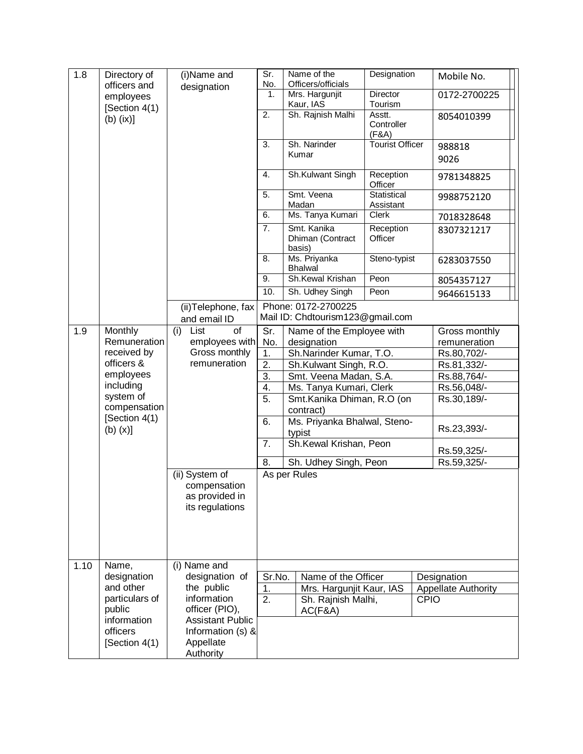| 1.8  | Directory of<br>officers and             | (i)Name and<br>designation                                          | $\overline{\text{Sr}}$<br>No. | Name of the<br>Officers/officials                 | Designation                   | Mobile No.                 |
|------|------------------------------------------|---------------------------------------------------------------------|-------------------------------|---------------------------------------------------|-------------------------------|----------------------------|
|      | employees                                |                                                                     | $\overline{1}$ .              | Mrs. Hargunjit<br>Kaur, IAS                       | Director<br>Tourism           | 0172-2700225               |
|      | [Section 4(1)<br>$(b)$ (ix)]             |                                                                     | 2.                            | Sh. Rajnish Malhi                                 | Asstt.<br>Controller<br>(F&A) | 8054010399                 |
|      |                                          |                                                                     | 3.                            | Sh. Narinder<br>Kumar                             | <b>Tourist Officer</b>        | 988818<br>9026             |
|      |                                          |                                                                     | 4.                            | Sh.Kulwant Singh                                  | Reception<br>Officer          | 9781348825                 |
|      |                                          |                                                                     | $\overline{5}$ .              | Smt. Veena<br>Madan                               | Statistical<br>Assistant      | 9988752120                 |
|      |                                          |                                                                     | 6.                            | Ms. Tanya Kumari                                  | Clerk                         | 7018328648                 |
|      |                                          |                                                                     | 7.                            | Smt. Kanika<br>Dhiman (Contract<br>basis)         | Reception<br>Officer          | 8307321217                 |
|      |                                          |                                                                     | 8.                            | Ms. Priyanka<br><b>Bhalwal</b>                    | Steno-typist                  | 6283037550                 |
|      |                                          |                                                                     | 9.                            | Sh.Kewal Krishan                                  | Peon                          | 8054357127                 |
|      |                                          |                                                                     | 10.                           | Sh. Udhey Singh                                   | Peon                          | 9646615133                 |
|      |                                          | (ii) Telephone, fax                                                 |                               | Phone: 0172-2700225                               |                               |                            |
|      |                                          | and email ID                                                        |                               | Mail ID: Chdtourism123@gmail.com                  |                               |                            |
| 1.9  | Monthly                                  | (i)<br>of<br>List                                                   | Sr.                           | Name of the Employee with                         |                               | Gross monthly              |
|      | Remuneration                             | employees with                                                      | No.<br>designation            |                                                   |                               | remuneration               |
|      | received by                              | Gross monthly                                                       | 1.                            | Sh.Narinder Kumar, T.O.                           |                               | Rs.80,702/-                |
|      | officers &<br>employees                  | remuneration                                                        | 2.                            | Sh.Kulwant Singh, R.O.                            |                               | Rs.81,332/-                |
|      | including                                |                                                                     | $\overline{3}$ .<br>4.        | Smt. Veena Madan, S.A.<br>Ms. Tanya Kumari, Clerk |                               | Rs.88,764/-<br>Rs.56,048/- |
|      | system of                                |                                                                     | $\overline{5}$ .              | Smt.Kanika Dhiman, R.O (on                        |                               | Rs.30,189/-                |
|      | compensation<br>[Section 4(1)            |                                                                     |                               | contract)                                         |                               |                            |
|      | $(b)$ $(x)$ ]                            |                                                                     | 6.                            | Ms. Priyanka Bhalwal, Steno-<br>typist            |                               | Rs.23,393/-                |
|      |                                          |                                                                     | 7.                            | Sh.Kewal Krishan, Peon                            |                               | Rs.59,325/-                |
|      |                                          |                                                                     | 8.                            | Sh. Udhey Singh, Peon                             |                               | Rs.59,325/-                |
|      |                                          | (ii) System of<br>compensation<br>as provided in<br>its regulations |                               | As per Rules                                      |                               |                            |
| 1.10 | Name,                                    | $(i)$ Name and                                                      |                               |                                                   |                               |                            |
|      | designation                              | designation of                                                      | Sr.No.                        | Name of the Officer                               |                               | Designation                |
|      | and other<br>particulars of              | the public<br>information                                           | 1.                            | Mrs. Hargunjit Kaur, IAS                          |                               | <b>Appellate Authority</b> |
|      | public                                   | officer (PIO),                                                      | 2.                            | Sh. Rajnish Malhi,<br>AC(F&A)                     |                               | <b>CPIO</b>                |
|      | information<br>officers<br>[Section 4(1) | <b>Assistant Public</b><br>Information (s) &<br>Appellate           |                               |                                                   |                               |                            |
|      |                                          | Authority                                                           |                               |                                                   |                               |                            |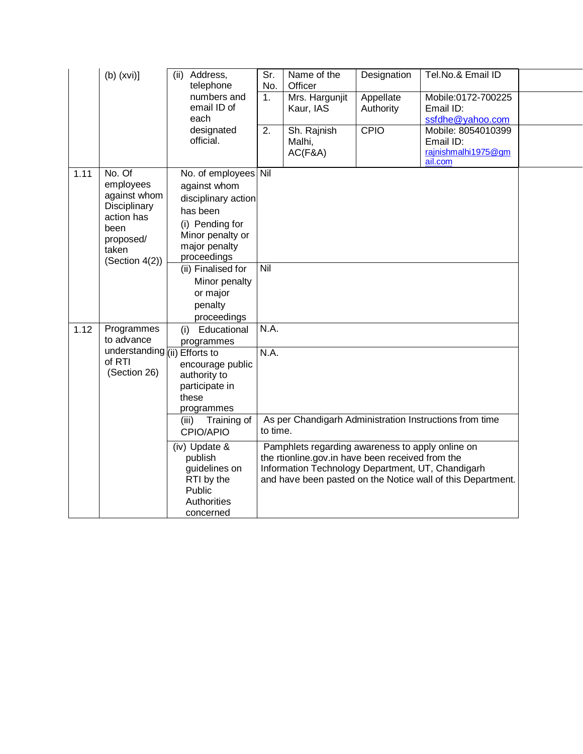|      | $(b)$ (xvi)]                                                                                                      | (ii)<br>Address,<br>telephone                                                                                                                                                                            | Sr.<br>No. | Name of the<br>Officer                                                                                                                                    | Designation            | Tel.No.& Email ID                                                 |  |
|------|-------------------------------------------------------------------------------------------------------------------|----------------------------------------------------------------------------------------------------------------------------------------------------------------------------------------------------------|------------|-----------------------------------------------------------------------------------------------------------------------------------------------------------|------------------------|-------------------------------------------------------------------|--|
|      |                                                                                                                   | numbers and<br>email ID of<br>each                                                                                                                                                                       | 1.         | Mrs. Hargunjit<br>Kaur, IAS                                                                                                                               | Appellate<br>Authority | Mobile:0172-700225<br>Email ID:<br>ssfdhe@yahoo.com               |  |
|      |                                                                                                                   | designated<br>official.                                                                                                                                                                                  | 2.         | Sh. Rajnish<br>Malhi,<br>AC(F&A)                                                                                                                          | CPIO                   | Mobile: 8054010399<br>Email ID:<br>rajnishmalhi1975@gm<br>ail.com |  |
| 1.11 | No. Of<br>employees<br>against whom<br>Disciplinary<br>action has<br>been<br>proposed/<br>taken<br>(Section 4(2)) | No. of employees<br>against whom<br>disciplinary action<br>has been<br>(i) Pending for<br>Minor penalty or<br>major penalty<br>proceedings<br>(ii) Finalised for<br>Minor penalty<br>or major<br>penalty | Nil<br>Nil |                                                                                                                                                           |                        |                                                                   |  |
| 1.12 | Programmes<br>to advance                                                                                          | proceedings<br>Educational<br>(i)<br>programmes                                                                                                                                                          | N.A.       |                                                                                                                                                           |                        |                                                                   |  |
|      | understanding (iii) Efforts to<br>of RTI<br>(Section 26)                                                          | encourage public<br>authority to<br>participate in<br>these<br>programmes                                                                                                                                | N.A.       |                                                                                                                                                           |                        |                                                                   |  |
|      |                                                                                                                   | Training of<br>(iii)<br>CPIO/APIO                                                                                                                                                                        | to time.   |                                                                                                                                                           |                        | As per Chandigarh Administration Instructions from time           |  |
|      |                                                                                                                   | (iv) Update &<br>publish<br>guidelines on<br>RTI by the<br>Public<br>Authorities<br>concerned                                                                                                            |            | Pamphlets regarding awareness to apply online on<br>the rtionline.gov.in have been received from the<br>Information Technology Department, UT, Chandigarh |                        | and have been pasted on the Notice wall of this Department.       |  |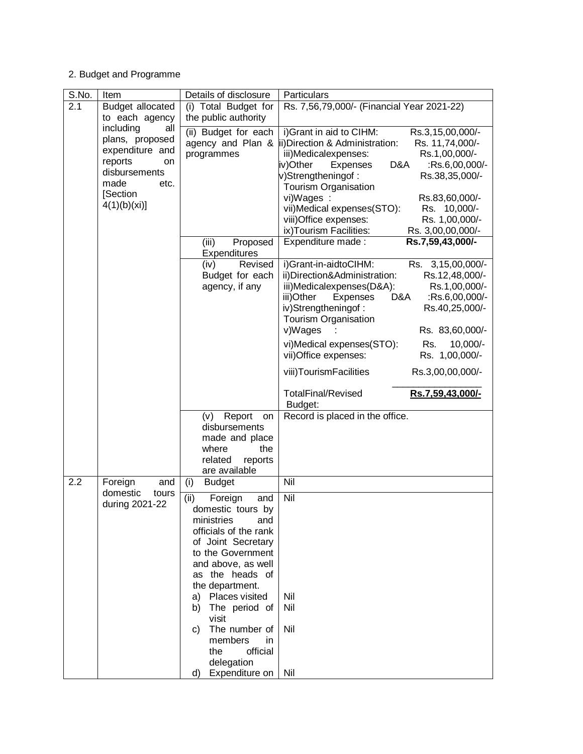## 2. Budget and Programme

| S.No. | Item                                | Details of disclosure                   | Particulars                                                                            |
|-------|-------------------------------------|-----------------------------------------|----------------------------------------------------------------------------------------|
| 2.1   | Budget allocated                    | (i) Total Budget for                    | Rs. 7,56,79,000/- (Financial Year 2021-22)                                             |
|       | to each agency                      | the public authority                    |                                                                                        |
|       | including<br>all                    | (ii) Budget for each                    | i) Grant in aid to CIHM:<br>Rs.3,15,00,000/-                                           |
|       | plans, proposed                     |                                         | agency and Plan &  ii) Direction & Administration:<br>Rs. 11,74,000/-                  |
|       | expenditure and                     | programmes                              | iii)Medicalexpenses:<br>Rs.1,00,000/-                                                  |
|       | reports<br>on<br>disbursements      |                                         | iv)Other<br>Expenses<br>D&A<br>:Rs.6,00,000/-                                          |
|       | made<br>etc.                        |                                         | v)Strengtheningof:<br>Rs.38,35,000/-                                                   |
|       | [Section                            |                                         | Tourism Organisation                                                                   |
|       | 4(1)(b)(xi)]                        |                                         | vi)Wages :<br>Rs.83,60,000/-                                                           |
|       |                                     |                                         | vii)Medical expenses(STO):<br>Rs. 10,000/-<br>Rs. 1,00,000/-<br>viii) Office expenses: |
|       |                                     |                                         | ix)Tourism Facilities:<br>Rs. 3,00,00,000/-                                            |
|       |                                     | (iii)<br>Proposed                       | Expenditure made:<br>Rs.7,59,43,000/-                                                  |
|       |                                     | <b>Expenditures</b>                     |                                                                                        |
|       |                                     | Revised<br>(iv)                         | i)Grant-in-aidtoCIHM:<br>Rs. 3,15,00,000/-                                             |
|       |                                     | Budget for each                         | ii)Direction&Administration:<br>Rs.12,48,000/-                                         |
|       |                                     | agency, if any                          | iii)Medicalexpenses(D&A):<br>Rs.1,00,000/-                                             |
|       |                                     |                                         | iii)Other<br>Expenses<br>D&A<br>:Rs.6,00,000/-                                         |
|       |                                     |                                         | iv)Strengtheningof:<br>Rs.40,25,000/-                                                  |
|       |                                     |                                         | Tourism Organisation                                                                   |
|       |                                     |                                         | v)Wages<br>Rs. 83,60,000/-                                                             |
|       |                                     |                                         | vi)Medical expenses(STO):<br>Rs.<br>$10,000/-$                                         |
|       |                                     |                                         | Rs. 1,00,000/-<br>vii)Office expenses:                                                 |
|       |                                     |                                         | viii)TourismFacilities<br>Rs.3,00,00,000/-                                             |
|       |                                     |                                         | <b>TotalFinal/Revised</b><br>Rs.7,59,43,000/-                                          |
|       |                                     |                                         | Budget:                                                                                |
|       |                                     | Report<br>(v)<br>on                     | Record is placed in the office.                                                        |
|       |                                     | disbursements                           |                                                                                        |
|       |                                     | made and place<br>where<br>the          |                                                                                        |
|       |                                     | related<br>reports                      |                                                                                        |
|       |                                     | are available                           |                                                                                        |
| 2.2   | Foreign<br>and                      | (i)<br><b>Budget</b>                    | Nil                                                                                    |
|       | domestic<br>tours<br>during 2021-22 | (ii)<br>Foreign<br>and                  | Nil                                                                                    |
|       |                                     | domestic tours by                       |                                                                                        |
|       |                                     | ministries<br>and                       |                                                                                        |
|       |                                     | officials of the rank                   |                                                                                        |
|       |                                     | of Joint Secretary<br>to the Government |                                                                                        |
|       |                                     | and above, as well                      |                                                                                        |
|       |                                     | as the heads of                         |                                                                                        |
|       |                                     | the department.                         |                                                                                        |
|       |                                     | Places visited<br>a)                    | Nil                                                                                    |
|       |                                     | The period of<br>b)                     | Nil                                                                                    |
|       |                                     | visit                                   |                                                                                        |
|       |                                     | The number of<br>C)                     | Nil                                                                                    |
|       |                                     | members<br>in                           |                                                                                        |
|       |                                     | official<br>the                         |                                                                                        |
|       |                                     | delegation<br>d) Expenditure on         | Nil                                                                                    |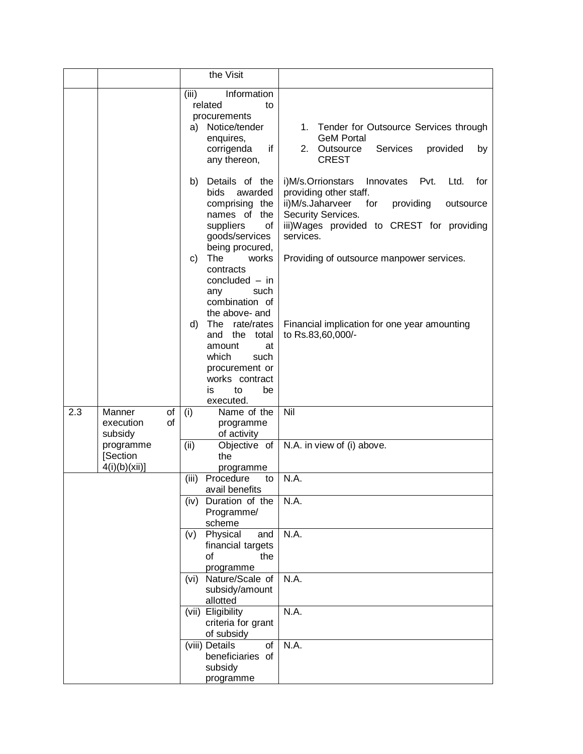|     |                                        |          | the Visit                                                                                                                                                                                                                                                                                                                                                                                             |                                                                                                                                                                                                                                                                                                                                        |
|-----|----------------------------------------|----------|-------------------------------------------------------------------------------------------------------------------------------------------------------------------------------------------------------------------------------------------------------------------------------------------------------------------------------------------------------------------------------------------------------|----------------------------------------------------------------------------------------------------------------------------------------------------------------------------------------------------------------------------------------------------------------------------------------------------------------------------------------|
|     |                                        |          | Information<br>(iii)<br>related<br>to<br>procurements<br>Notice/tender<br>a)<br>enquires,<br>if<br>corrigenda<br>any thereon,                                                                                                                                                                                                                                                                         | 1. Tender for Outsource Services through<br><b>GeM Portal</b><br>2.<br>Outsource<br>Services<br>provided<br>by<br><b>CREST</b>                                                                                                                                                                                                         |
|     |                                        |          | Details of the<br>b)<br><b>bids</b><br>awarded<br>comprising the<br>names of the<br>suppliers<br>of<br>goods/services<br>being procured,<br>The<br>works<br>C)<br>contracts<br>concluded $-$ in<br>any<br>such<br>combination of<br>the above- and<br>d)<br>The rate/rates<br>and<br>the<br>total<br>amount<br>at<br>which<br>such<br>procurement or<br>works contract<br>to<br>be<br>is<br>executed. | i)M/s.Orrionstars<br>Innovates<br>Pvt.<br>Ltd.<br>for<br>providing other staff.<br>ii)M/s.Jaharveer<br>providing<br>for<br>outsource<br>Security Services.<br>iii)Wages provided to CREST for providing<br>services.<br>Providing of outsource manpower services.<br>Financial implication for one year amounting<br>to Rs.83,60,000/- |
| 2.3 | Manner<br>execution<br>subsidy         | of<br>οf | Name of the<br>(i)<br>programme<br>of activity                                                                                                                                                                                                                                                                                                                                                        | Nil                                                                                                                                                                                                                                                                                                                                    |
|     | programme<br>[Section<br>4(i)(b)(xii)] |          | (ii)<br>Objective of<br>the<br>programme                                                                                                                                                                                                                                                                                                                                                              | N.A. in view of (i) above.                                                                                                                                                                                                                                                                                                             |
|     |                                        |          | Procedure<br>(iii)<br>to<br>avail benefits                                                                                                                                                                                                                                                                                                                                                            | N.A.                                                                                                                                                                                                                                                                                                                                   |
|     |                                        |          | Duration of the<br>(iv)<br>Programme/<br>scheme                                                                                                                                                                                                                                                                                                                                                       | N.A.                                                                                                                                                                                                                                                                                                                                   |
|     |                                        |          | Physical<br>and<br>(v)<br>financial targets<br>of<br>the<br>programme                                                                                                                                                                                                                                                                                                                                 | <b>N.A.</b>                                                                                                                                                                                                                                                                                                                            |
|     |                                        |          | Nature/Scale of<br>(vi)<br>subsidy/amount<br>allotted                                                                                                                                                                                                                                                                                                                                                 | N.A.                                                                                                                                                                                                                                                                                                                                   |
|     |                                        |          | (vii) Eligibility<br>criteria for grant<br>of subsidy                                                                                                                                                                                                                                                                                                                                                 | N.A.                                                                                                                                                                                                                                                                                                                                   |
|     |                                        |          | of<br>(viii) Details<br>beneficiaries of<br>subsidy<br>programme                                                                                                                                                                                                                                                                                                                                      | N.A.                                                                                                                                                                                                                                                                                                                                   |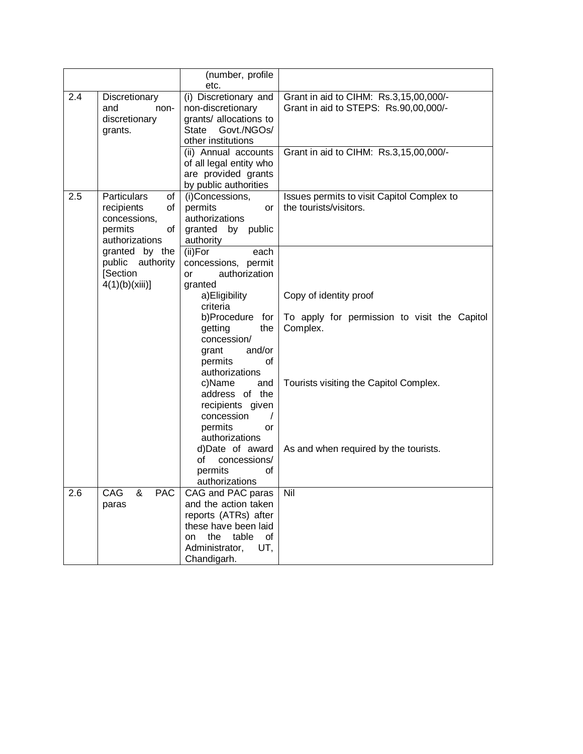|     |                                                                                                 | (number, profile<br>etc.                                                                                                                                      |                                                                                    |
|-----|-------------------------------------------------------------------------------------------------|---------------------------------------------------------------------------------------------------------------------------------------------------------------|------------------------------------------------------------------------------------|
| 2.4 | Discretionary<br>and<br>non-<br>discretionary<br>grants.                                        | (i) Discretionary and<br>non-discretionary<br>grants/ allocations to<br>State<br>Govt./NGOs/<br>other institutions                                            | Grant in aid to CIHM: Rs.3,15,00,000/-<br>Grant in aid to STEPS: Rs.90,00,000/-    |
|     |                                                                                                 | (ii) Annual accounts<br>of all legal entity who<br>are provided grants<br>by public authorities                                                               | Grant in aid to CIHM: Rs.3,15,00,000/-                                             |
| 2.5 | <b>Particulars</b><br>of<br>recipients<br>of<br>concessions,<br>permits<br>οf<br>authorizations | (i)Concessions,<br>permits<br>or<br>authorizations<br>granted by public<br>authority                                                                          | Issues permits to visit Capitol Complex to<br>the tourists/visitors.               |
|     | granted by the<br>public authority<br>[Section<br>4(1)(b)(xiii)]                                | (ii)For<br>each<br>concessions, permit<br>authorization<br><b>or</b><br>granted                                                                               |                                                                                    |
|     |                                                                                                 | a) Eligibility<br>criteria<br>b)Procedure for<br>the<br>getting<br>concession/<br>and/or<br>grant<br>permits<br>οf                                            | Copy of identity proof<br>To apply for permission to visit the Capitol<br>Complex. |
|     |                                                                                                 | authorizations<br>c)Name<br>and<br>address of the<br>recipients given<br>concession<br>$\prime$<br>permits<br><b>or</b><br>authorizations                     | Tourists visiting the Capitol Complex.                                             |
|     |                                                                                                 | d)Date of award<br>of<br>concessions/<br>permits<br>оf<br>authorizations                                                                                      | As and when required by the tourists.                                              |
| 2.6 | <b>CAG</b><br><b>PAC</b><br>&<br>paras                                                          | CAG and PAC paras<br>and the action taken<br>reports (ATRs) after<br>these have been laid<br>table<br>the<br>οf<br>on<br>Administrator,<br>UT,<br>Chandigarh. | Nil                                                                                |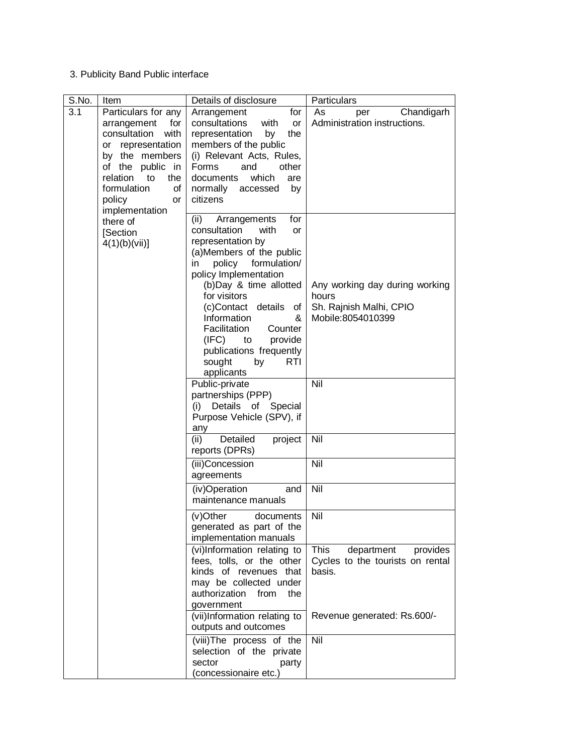#### 3. Publicity Band Public interface

| S.No. | Item                                                                                                                                                                                                                   | Details of disclosure                                                                                                                                                                                                                                                                                                                                                               | Particulars                                                                             |
|-------|------------------------------------------------------------------------------------------------------------------------------------------------------------------------------------------------------------------------|-------------------------------------------------------------------------------------------------------------------------------------------------------------------------------------------------------------------------------------------------------------------------------------------------------------------------------------------------------------------------------------|-----------------------------------------------------------------------------------------|
| 3.1   | Particulars for any<br>arrangement<br>for<br>consultation<br>with<br>representation<br>or<br>by the members<br>of the public in<br>relation<br>the<br>to<br>formulation<br>of<br>policy<br><b>or</b><br>implementation | Arrangement<br>for<br>consultations<br>with<br>or<br>the<br>representation<br>by<br>members of the public<br>(i) Relevant Acts, Rules,<br>Forms<br>other<br>and<br>which<br>documents<br>are<br>normally<br>accessed<br>by<br>citizens                                                                                                                                              | Chandigarh<br>As<br>per<br>Administration instructions.                                 |
|       | there of<br><b>Section</b><br>4(1)(b)(vii)]                                                                                                                                                                            | (ii)<br>for<br>Arrangements<br>with<br>consultation<br>or<br>representation by<br>(a)Members of the public<br>formulation/<br>policy<br>in.<br>policy Implementation<br>(b)Day & time allotted<br>for visitors<br>(c)Contact details<br>Οf<br>Information<br>&<br>Facilitation<br>Counter<br>(IFC)<br>provide<br>to<br>publications frequently<br>sought<br>by<br>RTI<br>applicants | Any working day during working<br>hours<br>Sh. Rajnish Malhi, CPIO<br>Mobile:8054010399 |
|       |                                                                                                                                                                                                                        | Public-private<br>partnerships (PPP)<br>(i) Details of Special<br>Purpose Vehicle (SPV), if<br>any                                                                                                                                                                                                                                                                                  | Nil                                                                                     |
|       |                                                                                                                                                                                                                        | Detailed<br>(ii)<br>project<br>reports (DPRs)                                                                                                                                                                                                                                                                                                                                       | Nil                                                                                     |
|       |                                                                                                                                                                                                                        | (iii)Concession<br>agreements                                                                                                                                                                                                                                                                                                                                                       | Nil                                                                                     |
|       |                                                                                                                                                                                                                        | (iv)Operation<br>and<br>maintenance manuals                                                                                                                                                                                                                                                                                                                                         | Nil                                                                                     |
|       |                                                                                                                                                                                                                        | (v)Other<br>documents<br>generated as part of the<br>implementation manuals                                                                                                                                                                                                                                                                                                         | Nil                                                                                     |
|       |                                                                                                                                                                                                                        | (vi)Information relating to<br>fees, tolls, or the other<br>kinds of revenues that<br>may be collected under<br>authorization<br>from<br>the<br>government                                                                                                                                                                                                                          | <b>This</b><br>department<br>provides<br>Cycles to the tourists on rental<br>basis.     |
|       |                                                                                                                                                                                                                        | (vii)Information relating to<br>outputs and outcomes                                                                                                                                                                                                                                                                                                                                | Revenue generated: Rs.600/-                                                             |
|       |                                                                                                                                                                                                                        | (viii)The process of the<br>selection of the private<br>sector<br>party<br>(concessionaire etc.)                                                                                                                                                                                                                                                                                    | Nil                                                                                     |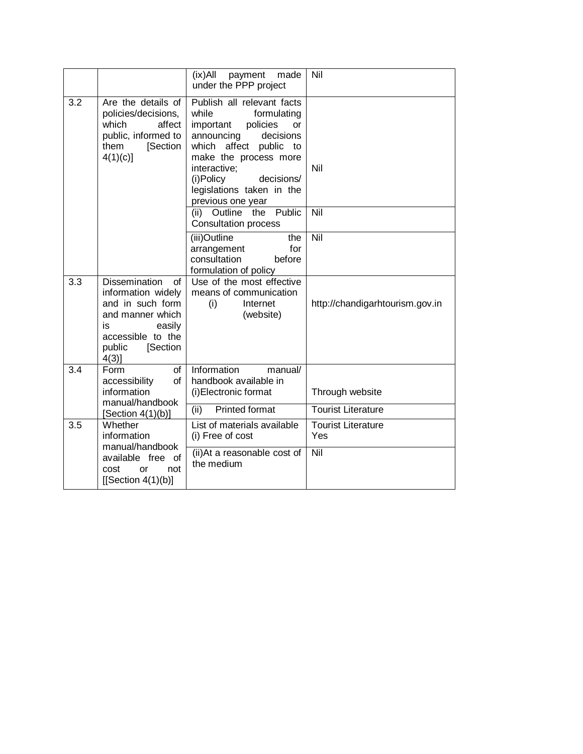|                                                                                   |                                                                                                                                                              | $(ix)$ All<br>payment<br>made<br>under the PPP project                                                                                                                                                                                                                    | Nil                              |
|-----------------------------------------------------------------------------------|--------------------------------------------------------------------------------------------------------------------------------------------------------------|---------------------------------------------------------------------------------------------------------------------------------------------------------------------------------------------------------------------------------------------------------------------------|----------------------------------|
| 3.2                                                                               | Are the details of<br>policies/decisions,<br>which<br>affect<br>public, informed to<br>them<br>[Section<br>$4(1)(c)$ ]                                       | Publish all relevant facts<br>while<br>formulating<br>policies<br>important<br><b>or</b><br>announcing<br>decisions<br>which<br>affect public<br>to<br>make the process more<br>interactive:<br>(i)Policy<br>decisions/<br>legislations taken in the<br>previous one year | Nil                              |
|                                                                                   |                                                                                                                                                              | (ii) Outline the<br>Public<br><b>Consultation process</b>                                                                                                                                                                                                                 | Nil                              |
|                                                                                   |                                                                                                                                                              | (iii)Outline<br>the<br>arrangement<br>for<br>consultation<br>before<br>formulation of policy                                                                                                                                                                              | Nil                              |
| 3.3                                                                               | <b>Dissemination</b><br>οf<br>information widely<br>and in such form<br>and manner which<br>easily<br>is<br>accessible to the<br>[Section<br>public<br>4(3)] | Use of the most effective<br>means of communication<br>Internet<br>(i)<br>(website)                                                                                                                                                                                       | http://chandigarhtourism.gov.in  |
| $\overline{3.4}$                                                                  | $\overline{of}$<br>Form<br>of<br>accessibility<br>information<br>manual/handbook                                                                             | Information<br>manual/<br>handbook available in<br>(i) Electronic format                                                                                                                                                                                                  | Through website                  |
|                                                                                   | [Section $4(1)(b)$ ]                                                                                                                                         | <b>Printed format</b><br>(ii)                                                                                                                                                                                                                                             | <b>Tourist Literature</b>        |
| 3.5                                                                               | Whether<br>information                                                                                                                                       | List of materials available<br>(i) Free of cost                                                                                                                                                                                                                           | <b>Tourist Literature</b><br>Yes |
| manual/handbook<br>available free of<br>cost<br>or<br>not<br>$[$ Section 4(1)(b)] |                                                                                                                                                              | (ii) At a reasonable cost of<br>the medium                                                                                                                                                                                                                                | Nil                              |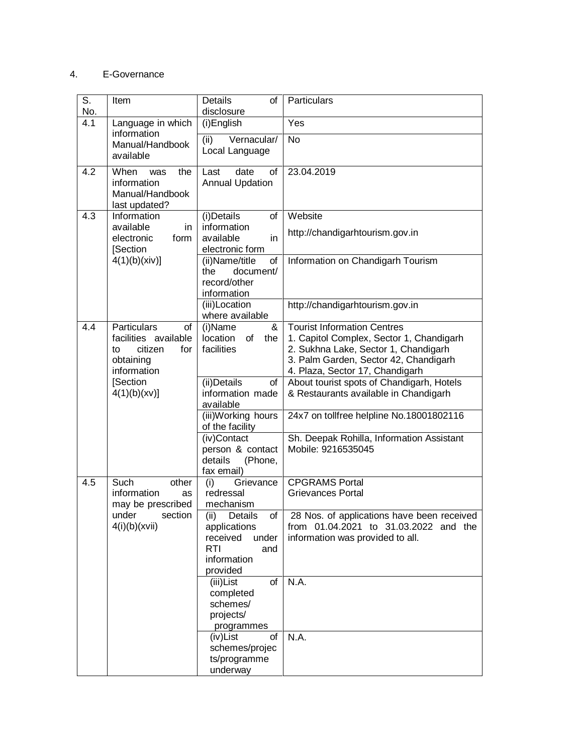#### 4. E-Governance

| S.<br>No. | Item                                                                                          | <b>Details</b><br>οf<br>disclosure                                                                         | Particulars                                                                                                                                                                                        |
|-----------|-----------------------------------------------------------------------------------------------|------------------------------------------------------------------------------------------------------------|----------------------------------------------------------------------------------------------------------------------------------------------------------------------------------------------------|
| 4.1       | Language in which                                                                             | (i)English                                                                                                 | Yes                                                                                                                                                                                                |
|           | information<br>Manual/Handbook<br>available                                                   | (ii)<br>Vernacular/<br>Local Language                                                                      | <b>No</b>                                                                                                                                                                                          |
| 4.2       | When<br>the<br>was<br>information<br>Manual/Handbook<br>last updated?                         | date<br>οf<br>Last<br><b>Annual Updation</b>                                                               | 23.04.2019                                                                                                                                                                                         |
| 4.3       | Information                                                                                   | (i)Details<br>οf<br>information                                                                            | Website                                                                                                                                                                                            |
|           | available<br>in<br>form<br>electronic<br>[Section                                             | available<br>in<br>electronic form                                                                         | http://chandigarhtourism.gov.in                                                                                                                                                                    |
|           | 4(1)(b)(xiv)                                                                                  | (ii)Name/title<br>οf<br>document/<br>the<br>record/other<br>information                                    | Information on Chandigarh Tourism                                                                                                                                                                  |
|           |                                                                                               | (iii)Location<br>where available                                                                           | http://chandigarhtourism.gov.in                                                                                                                                                                    |
| 4.4       | Particulars<br>of<br>facilities available<br>citizen<br>to<br>for<br>obtaining<br>information | (i)Name<br>&<br>location<br>of<br>the<br>facilities                                                        | <b>Tourist Information Centres</b><br>1. Capitol Complex, Sector 1, Chandigarh<br>2. Sukhna Lake, Sector 1, Chandigarh<br>3. Palm Garden, Sector 42, Chandigarh<br>4. Plaza, Sector 17, Chandigarh |
|           | [Section<br>4(1)(b)(xv)]                                                                      | (ii) Details<br>of<br>information made<br>available                                                        | About tourist spots of Chandigarh, Hotels<br>& Restaurants available in Chandigarh                                                                                                                 |
|           |                                                                                               | (iii)Working hours<br>of the facility                                                                      | 24x7 on tollfree helpline No.18001802116                                                                                                                                                           |
|           |                                                                                               | (iv)Contact<br>person & contact<br>details<br>(Phone,<br>fax email)                                        | Sh. Deepak Rohilla, Information Assistant<br>Mobile: 9216535045                                                                                                                                    |
| 4.5       | Such<br>other<br>information<br>as<br>may be prescribed                                       | Grievance<br>(i)<br>redressal<br>mechanism                                                                 | <b>CPGRAMS Portal</b><br><b>Grievances Portal</b>                                                                                                                                                  |
|           | under<br>section<br>4(i)(b)(xvii)                                                             | of<br>(ii)<br>Details<br>applications<br>received<br>under<br><b>RTI</b><br>and<br>information<br>provided | 28 Nos. of applications have been received<br>from 01.04.2021 to 31.03.2022 and the<br>information was provided to all.                                                                            |
|           |                                                                                               | (iii)List<br>of<br>completed<br>schemes/<br>projects/<br>programmes                                        | N.A.                                                                                                                                                                                               |
|           |                                                                                               | οf<br>(iv)List<br>schemes/projec<br>ts/programme<br>underway                                               | N.A.                                                                                                                                                                                               |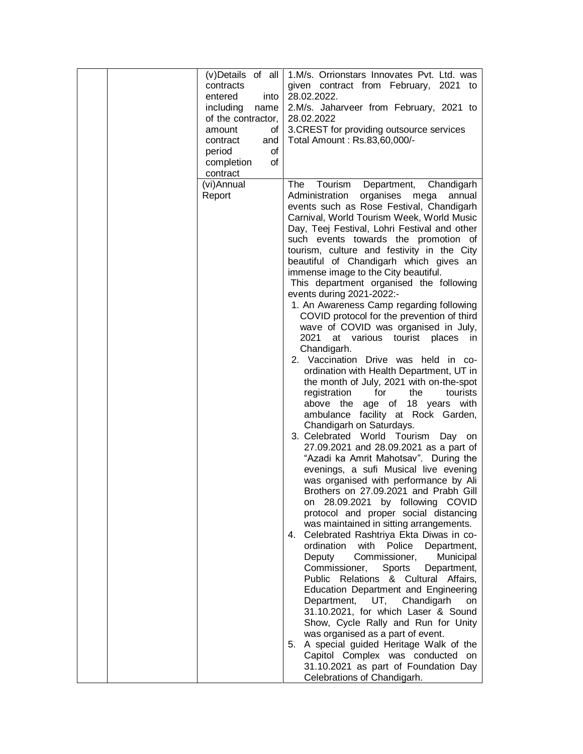| (v)Details of all  | 1.M/s. Orrionstars Innovates Pvt. Ltd. was                                      |
|--------------------|---------------------------------------------------------------------------------|
| contracts          | given contract from February, 2021<br>to                                        |
| entered<br>into    | 28.02.2022.                                                                     |
| including<br>name  | 2.M/s. Jaharveer from February, 2021 to                                         |
| of the contractor, | 28.02.2022                                                                      |
| οf<br>amount       | 3. CREST for providing outsource services                                       |
| contract<br>and    | Total Amount: Rs.83,60,000/-                                                    |
| period<br>οf       |                                                                                 |
| completion<br>0f   |                                                                                 |
| contract           |                                                                                 |
| (vi)Annual         | Tourism<br>The<br>Department,<br>Chandigarh                                     |
| Report             | Administration<br>organises<br>annual<br>mega                                   |
|                    | events such as Rose Festival, Chandigarh                                        |
|                    | Carnival, World Tourism Week, World Music                                       |
|                    | Day, Teej Festival, Lohri Festival and other                                    |
|                    | such events towards the promotion of                                            |
|                    | tourism, culture and festivity in the City                                      |
|                    | beautiful of Chandigarh which gives an                                          |
|                    | immense image to the City beautiful.<br>This department organised the following |
|                    | events during 2021-2022:-                                                       |
|                    | 1. An Awareness Camp regarding following                                        |
|                    | COVID protocol for the prevention of third                                      |
|                    | wave of COVID was organised in July,                                            |
|                    | 2021<br>at various tourist places in                                            |
|                    | Chandigarh.                                                                     |
|                    | 2. Vaccination Drive was held in co-                                            |
|                    | ordination with Health Department, UT in                                        |
|                    | the month of July, 2021 with on-the-spot                                        |
|                    | registration<br>for<br>the<br>tourists                                          |
|                    | age of 18 years with<br>above the                                               |
|                    | ambulance facility at Rock Garden,                                              |
|                    | Chandigarh on Saturdays.                                                        |
|                    | 3. Celebrated World Tourism<br>Day on<br>27.09.2021 and 28.09.2021 as a part of |
|                    | "Azadi ka Amrit Mahotsav". During the                                           |
|                    | evenings, a sufi Musical live evening                                           |
|                    | was organised with performance by Ali                                           |
|                    | Brothers on 27.09.2021 and Prabh Gill                                           |
|                    | 28.09.2021 by following COVID<br>on                                             |
|                    | protocol and proper social distancing                                           |
|                    | was maintained in sitting arrangements.                                         |
|                    | Celebrated Rashtriya Ekta Diwas in co-<br>4.                                    |
|                    | ordination<br>with Police<br>Department,                                        |
|                    | Commissioner,<br>Deputy<br>Municipal                                            |
|                    | Commissioner,<br>Sports<br>Department,                                          |
|                    | Public Relations & Cultural Affairs,                                            |
|                    | Education Department and Engineering                                            |
|                    | Department,<br>UT, Chandigarh<br><b>on</b>                                      |
|                    | 31.10.2021, for which Laser & Sound                                             |
|                    | Show, Cycle Rally and Run for Unity                                             |
|                    | was organised as a part of event.                                               |
|                    |                                                                                 |
|                    | A special guided Heritage Walk of the<br>5.                                     |
|                    | Capitol Complex was conducted on<br>31.10.2021 as part of Foundation Day        |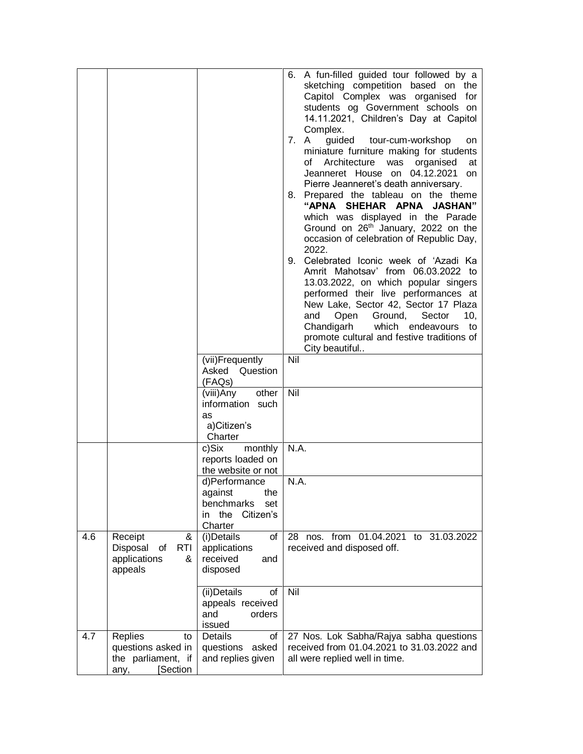|     |                                                                               | (vii)Frequently<br>Asked<br>Question<br>(FAQs)<br>other<br>(viii)Any<br>information such<br>as<br>a)Citizen's<br>Charter<br>c)Six<br>monthly<br>reports loaded on<br>the website or not<br>d)Performance<br>against<br>the<br>benchmarks<br>set<br>Citizen's<br>in the<br>Charter | 6. A fun-filled guided tour followed by a<br>sketching competition based on the<br>Capitol Complex was organised for<br>students og Government schools on<br>14.11.2021, Children's Day at Capitol<br>Complex.<br>7. A<br>guided tour-cum-workshop<br>on<br>miniature furniture making for students<br>Architecture was organised<br>of<br>at<br>Jeanneret House on 04.12.2021<br><b>on</b><br>Pierre Jeanneret's death anniversary.<br>8. Prepared the tableau on the theme<br>"APNA SHEHAR APNA JASHAN"<br>which was displayed in the Parade<br>Ground on 26 <sup>th</sup> January, 2022 on the<br>occasion of celebration of Republic Day,<br>2022.<br>9. Celebrated Iconic week of 'Azadi Ka<br>Amrit Mahotsav' from 06.03.2022 to<br>13.03.2022, on which popular singers<br>performed their live performances at<br>New Lake, Sector 42, Sector 17 Plaza<br>Ground,<br>Sector<br>and<br>Open<br>10,<br>Chandigarh<br>which endeavours to<br>promote cultural and festive traditions of<br>City beautiful<br>Nil<br>Nil<br>N.A.<br>N.A. |
|-----|-------------------------------------------------------------------------------|-----------------------------------------------------------------------------------------------------------------------------------------------------------------------------------------------------------------------------------------------------------------------------------|----------------------------------------------------------------------------------------------------------------------------------------------------------------------------------------------------------------------------------------------------------------------------------------------------------------------------------------------------------------------------------------------------------------------------------------------------------------------------------------------------------------------------------------------------------------------------------------------------------------------------------------------------------------------------------------------------------------------------------------------------------------------------------------------------------------------------------------------------------------------------------------------------------------------------------------------------------------------------------------------------------------------------------------------|
| 4.6 | Receipt<br>&<br>Disposal<br><b>RTI</b><br>of<br>applications<br>&<br>appeals  | $(i)$ Details<br>οf<br>applications<br>received<br>and<br>disposed                                                                                                                                                                                                                | 28 nos. from 01.04.2021 to 31.03.2022<br>received and disposed off.                                                                                                                                                                                                                                                                                                                                                                                                                                                                                                                                                                                                                                                                                                                                                                                                                                                                                                                                                                          |
|     |                                                                               | (ii) Details<br>οf<br>appeals received<br>and<br>orders<br>issued                                                                                                                                                                                                                 | Nil                                                                                                                                                                                                                                                                                                                                                                                                                                                                                                                                                                                                                                                                                                                                                                                                                                                                                                                                                                                                                                          |
| 4.7 | Replies<br>to<br>questions asked in<br>the parliament, if<br>[Section<br>any, | of<br>Details<br>questions<br>asked<br>and replies given                                                                                                                                                                                                                          | 27 Nos. Lok Sabha/Rajya sabha questions<br>received from 01.04.2021 to 31.03.2022 and<br>all were replied well in time.                                                                                                                                                                                                                                                                                                                                                                                                                                                                                                                                                                                                                                                                                                                                                                                                                                                                                                                      |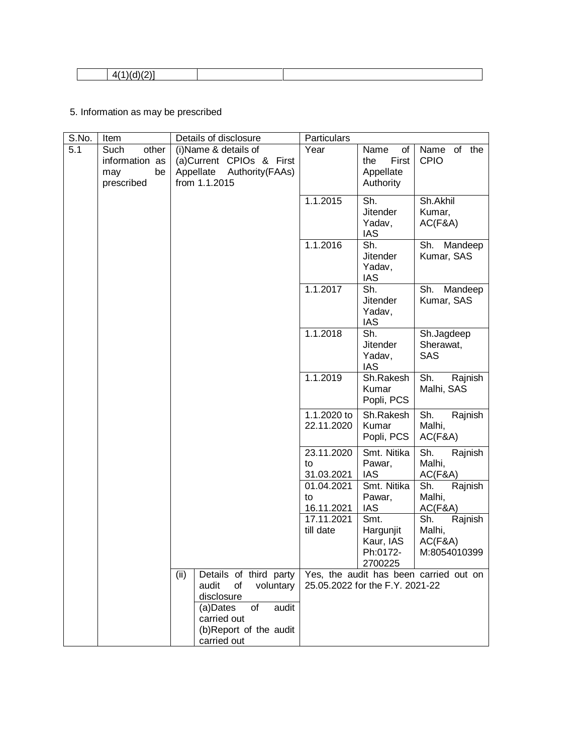|--|--|

# 5. Information as may be prescribed

| S.No. | Item                                                       | Details of disclosure                                                                               | Particulars                    |                                                       |                                                     |
|-------|------------------------------------------------------------|-----------------------------------------------------------------------------------------------------|--------------------------------|-------------------------------------------------------|-----------------------------------------------------|
| 5.1   | other<br>Such<br>information as<br>be<br>may<br>prescribed | (i) Name & details of<br>(a)Current CPIOs & First<br>Authority (FAAs)<br>Appellate<br>from 1.1.2015 | Year                           | of<br>Name<br>First<br>the<br>Appellate<br>Authority  | Name of the<br><b>CPIO</b>                          |
|       |                                                            |                                                                                                     | 1.1.2015                       | Sh.<br><b>Jitender</b><br>Yadav,<br><b>IAS</b>        | Sh.Akhil<br>Kumar,<br>AC(F&A)                       |
|       |                                                            |                                                                                                     | 1.1.2016                       | Sh.<br><b>Jitender</b><br>Yadav,<br><b>IAS</b>        | Sh.<br>Mandeep<br>Kumar, SAS                        |
|       |                                                            |                                                                                                     | 1.1.2017                       | Sh.<br><b>Jitender</b><br>Yadav,<br>IAS               | Sh.<br>Mandeep<br>Kumar, SAS                        |
|       |                                                            |                                                                                                     | 1.1.2018                       | Sh.<br><b>Jitender</b><br>Yadav,<br><b>IAS</b>        | Sh.Jagdeep<br>Sherawat,<br><b>SAS</b>               |
|       |                                                            |                                                                                                     | 1.1.2019                       | Sh.Rakesh<br>Kumar<br>Popli, PCS                      | Sh.<br>Rajnish<br>Malhi, SAS                        |
|       |                                                            |                                                                                                     | 1.1.2020 to<br>22.11.2020      | Sh.Rakesh<br>Kumar<br>Popli, PCS                      | Sh.<br>Rajnish<br>Malhi,<br>AC(F&A)                 |
|       |                                                            |                                                                                                     | 23.11.2020<br>to<br>31.03.2021 | Smt. Nitika<br>Pawar,<br><b>IAS</b>                   | Sh.<br>Rajnish<br>Malhi,<br>AC(F&A)                 |
|       |                                                            |                                                                                                     | 01.04.2021<br>to<br>16.11.2021 | Smt. Nitika<br>Pawar,<br><b>IAS</b>                   | Sh.<br>Rajnish<br>Malhi,<br>AC(F&A)                 |
|       |                                                            |                                                                                                     | 17.11.2021<br>till date        | Smt.<br>Hargunjit<br>Kaur, IAS<br>Ph:0172-<br>2700225 | Sh.<br>Rajnish<br>Malhi,<br>AC(F&A)<br>M:8054010399 |
|       |                                                            | Details of third party<br>(ii)<br>audit<br>voluntary<br>οf<br>disclosure                            |                                | 25.05.2022 for the F.Y. 2021-22                       | Yes, the audit has been carried out on              |
|       |                                                            | (a)Dates<br>of<br>audit<br>carried out<br>(b)Report of the audit<br>carried out                     |                                |                                                       |                                                     |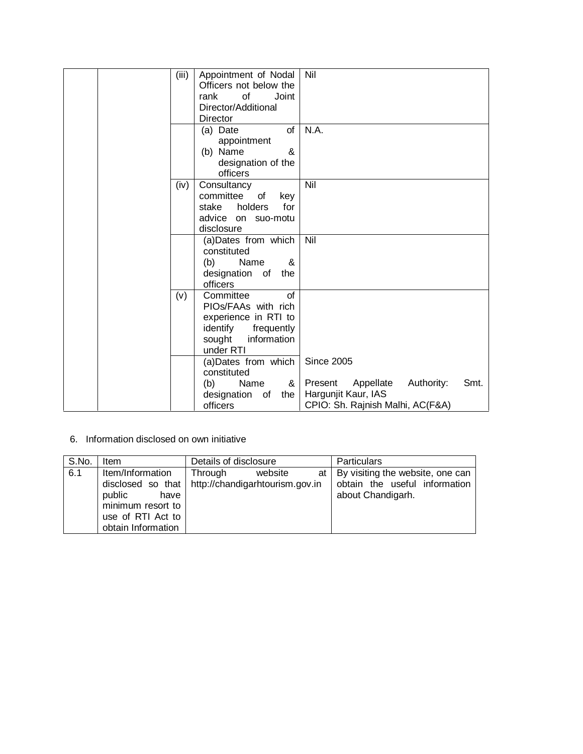| (iii) | Appointment of Nodal     | Nil                                        |
|-------|--------------------------|--------------------------------------------|
|       | Officers not below the   |                                            |
|       | rank<br>οf<br>Joint      |                                            |
|       | Director/Additional      |                                            |
|       | Director                 |                                            |
|       | of<br>(a) Date           | N.A.                                       |
|       | appointment              |                                            |
|       | (b) Name<br>&            |                                            |
|       | designation of the       |                                            |
|       | officers                 |                                            |
| (iv)  | Consultancy              | Nil                                        |
|       | committee<br>of<br>key   |                                            |
|       | holders<br>stake<br>for  |                                            |
|       | advice on suo-motu       |                                            |
|       | disclosure               |                                            |
|       | (a)Dates from which      | Nil                                        |
|       | constituted              |                                            |
|       | Name<br>&<br>(b)         |                                            |
|       | designation of<br>the    |                                            |
|       | officers                 |                                            |
| (v)   | Committee<br>οf          |                                            |
|       | PIOs/FAAs with rich      |                                            |
|       | experience in RTI to     |                                            |
|       | identify<br>frequently   |                                            |
|       | sought<br>information    |                                            |
|       | under RTI                |                                            |
|       | (a)Dates from which      | <b>Since 2005</b>                          |
|       | constituted              |                                            |
|       | (b)<br>Name<br>&         | Authority:<br>Smt.<br>Present<br>Appellate |
|       | designation<br>of<br>the | Hargunjit Kaur, IAS                        |
|       | officers                 | CPIO: Sh. Rajnish Malhi, AC(F&A)           |

6. Information disclosed on own initiative

| S.No. | Details of disclosure<br><b>Item</b>                                                               |                                                                           | <b>Particulars</b>                                                                          |
|-------|----------------------------------------------------------------------------------------------------|---------------------------------------------------------------------------|---------------------------------------------------------------------------------------------|
| 6.1   | Item/Information<br>public<br>have<br>minimum resort to<br>use of RTI Act to<br>obtain Information | website<br>Through<br>disclosed so that   http://chandigarhtourism.gov.in | at   By visiting the website, one can<br>obtain the useful information<br>about Chandigarh. |